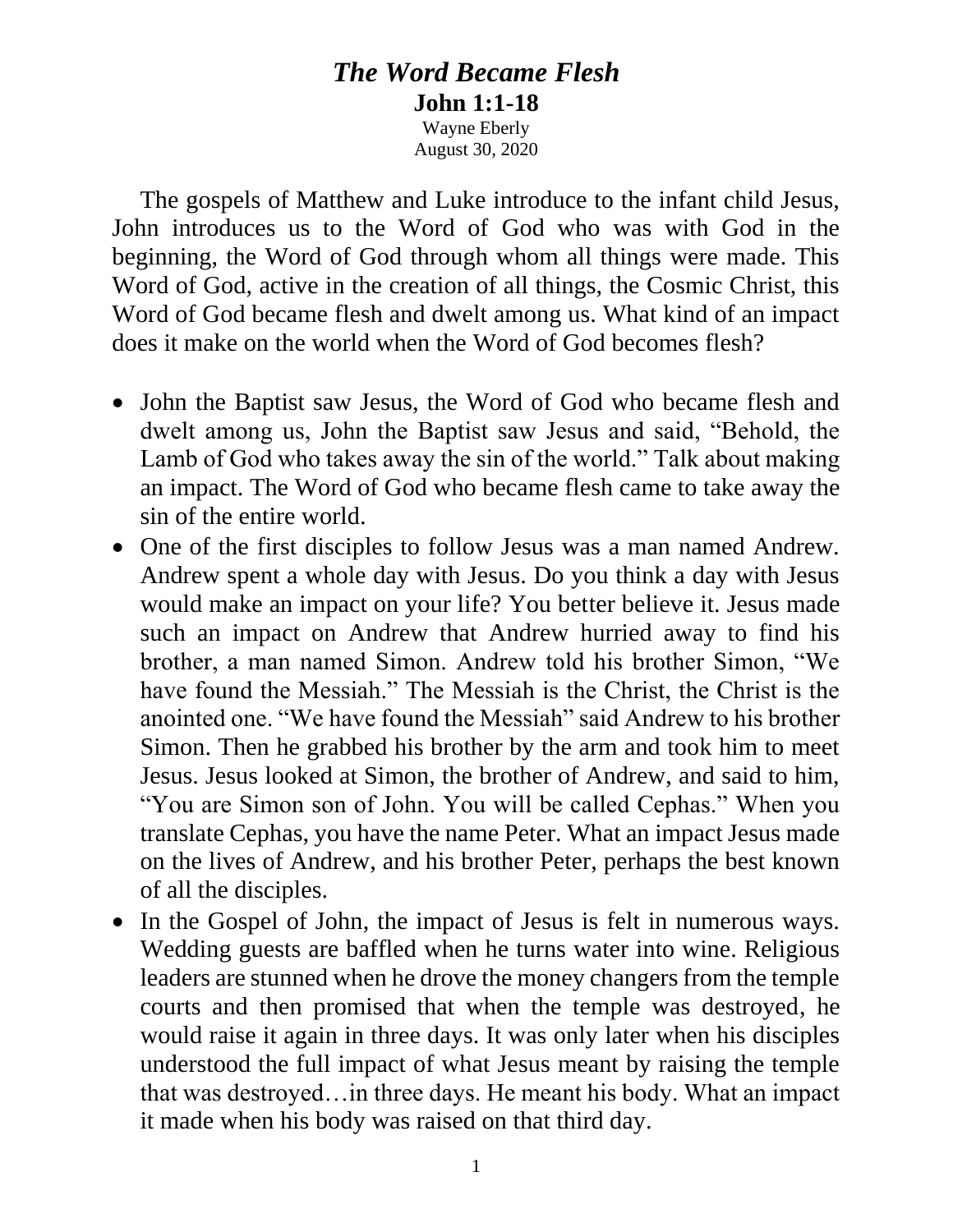## *The Word Became Flesh* **John 1:1-18**

Wayne Eberly August 30, 2020

The gospels of Matthew and Luke introduce to the infant child Jesus, John introduces us to the Word of God who was with God in the beginning, the Word of God through whom all things were made. This Word of God, active in the creation of all things, the Cosmic Christ, this Word of God became flesh and dwelt among us. What kind of an impact does it make on the world when the Word of God becomes flesh?

- John the Baptist saw Jesus, the Word of God who became flesh and dwelt among us, John the Baptist saw Jesus and said, "Behold, the Lamb of God who takes away the sin of the world." Talk about making an impact. The Word of God who became flesh came to take away the sin of the entire world.
- One of the first disciples to follow Jesus was a man named Andrew. Andrew spent a whole day with Jesus. Do you think a day with Jesus would make an impact on your life? You better believe it. Jesus made such an impact on Andrew that Andrew hurried away to find his brother, a man named Simon. Andrew told his brother Simon, "We have found the Messiah." The Messiah is the Christ, the Christ is the anointed one. "We have found the Messiah" said Andrew to his brother Simon. Then he grabbed his brother by the arm and took him to meet Jesus. Jesus looked at Simon, the brother of Andrew, and said to him, "You are Simon son of John. You will be called Cephas." When you translate Cephas, you have the name Peter. What an impact Jesus made on the lives of Andrew, and his brother Peter, perhaps the best known of all the disciples.
- In the Gospel of John, the impact of Jesus is felt in numerous ways. Wedding guests are baffled when he turns water into wine. Religious leaders are stunned when he drove the money changers from the temple courts and then promised that when the temple was destroyed, he would raise it again in three days. It was only later when his disciples understood the full impact of what Jesus meant by raising the temple that was destroyed…in three days. He meant his body. What an impact it made when his body was raised on that third day.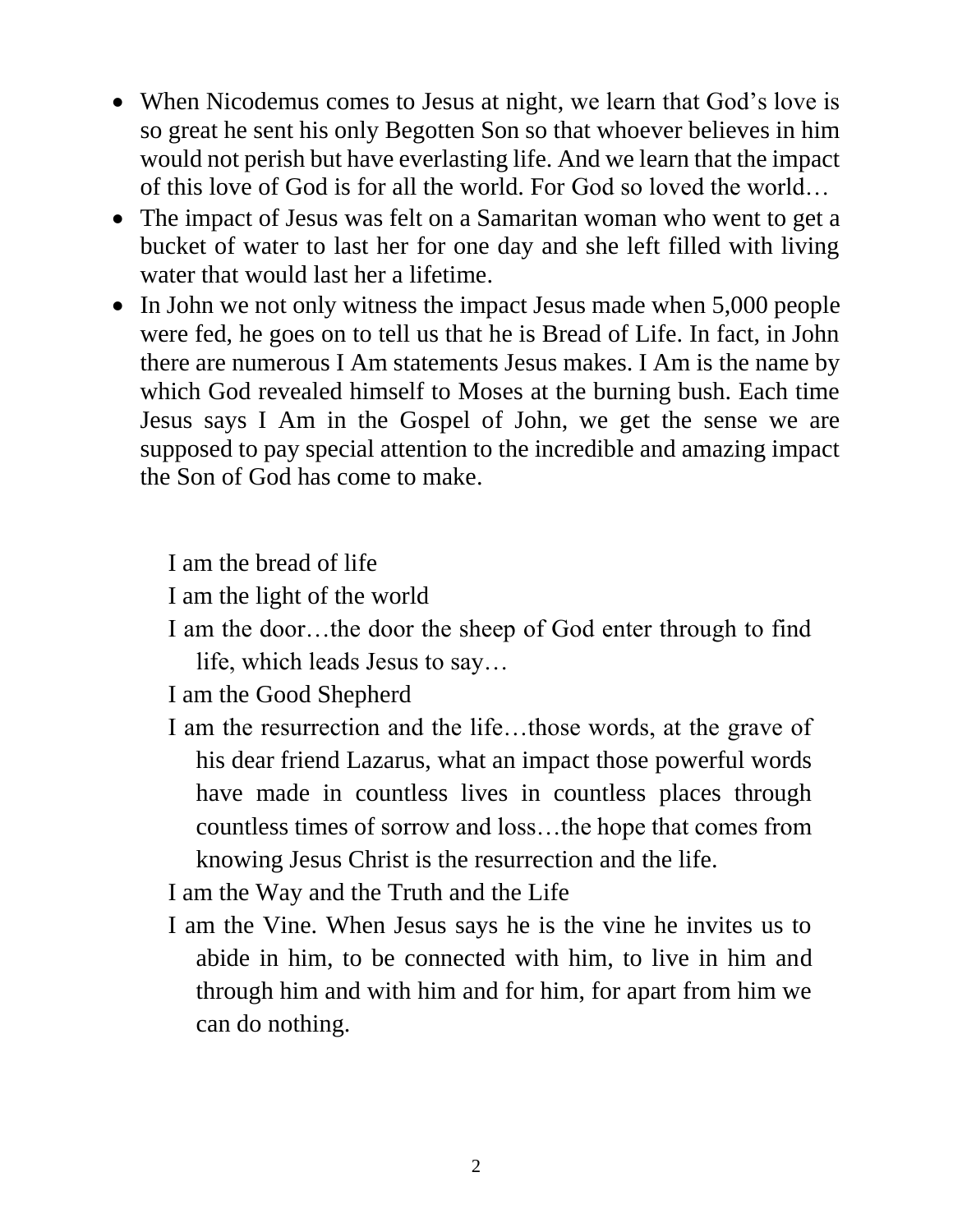- When Nicodemus comes to Jesus at night, we learn that God's love is so great he sent his only Begotten Son so that whoever believes in him would not perish but have everlasting life. And we learn that the impact of this love of God is for all the world. For God so loved the world…
- The impact of Jesus was felt on a Samaritan woman who went to get a bucket of water to last her for one day and she left filled with living water that would last her a lifetime.
- In John we not only witness the impact Jesus made when 5,000 people were fed, he goes on to tell us that he is Bread of Life. In fact, in John there are numerous I Am statements Jesus makes. I Am is the name by which God revealed himself to Moses at the burning bush. Each time Jesus says I Am in the Gospel of John, we get the sense we are supposed to pay special attention to the incredible and amazing impact the Son of God has come to make.

I am the bread of life

I am the light of the world

I am the door…the door the sheep of God enter through to find life, which leads Jesus to say…

I am the Good Shepherd

I am the resurrection and the life…those words, at the grave of his dear friend Lazarus, what an impact those powerful words have made in countless lives in countless places through countless times of sorrow and loss…the hope that comes from knowing Jesus Christ is the resurrection and the life.

I am the Way and the Truth and the Life

I am the Vine. When Jesus says he is the vine he invites us to abide in him, to be connected with him, to live in him and through him and with him and for him, for apart from him we can do nothing.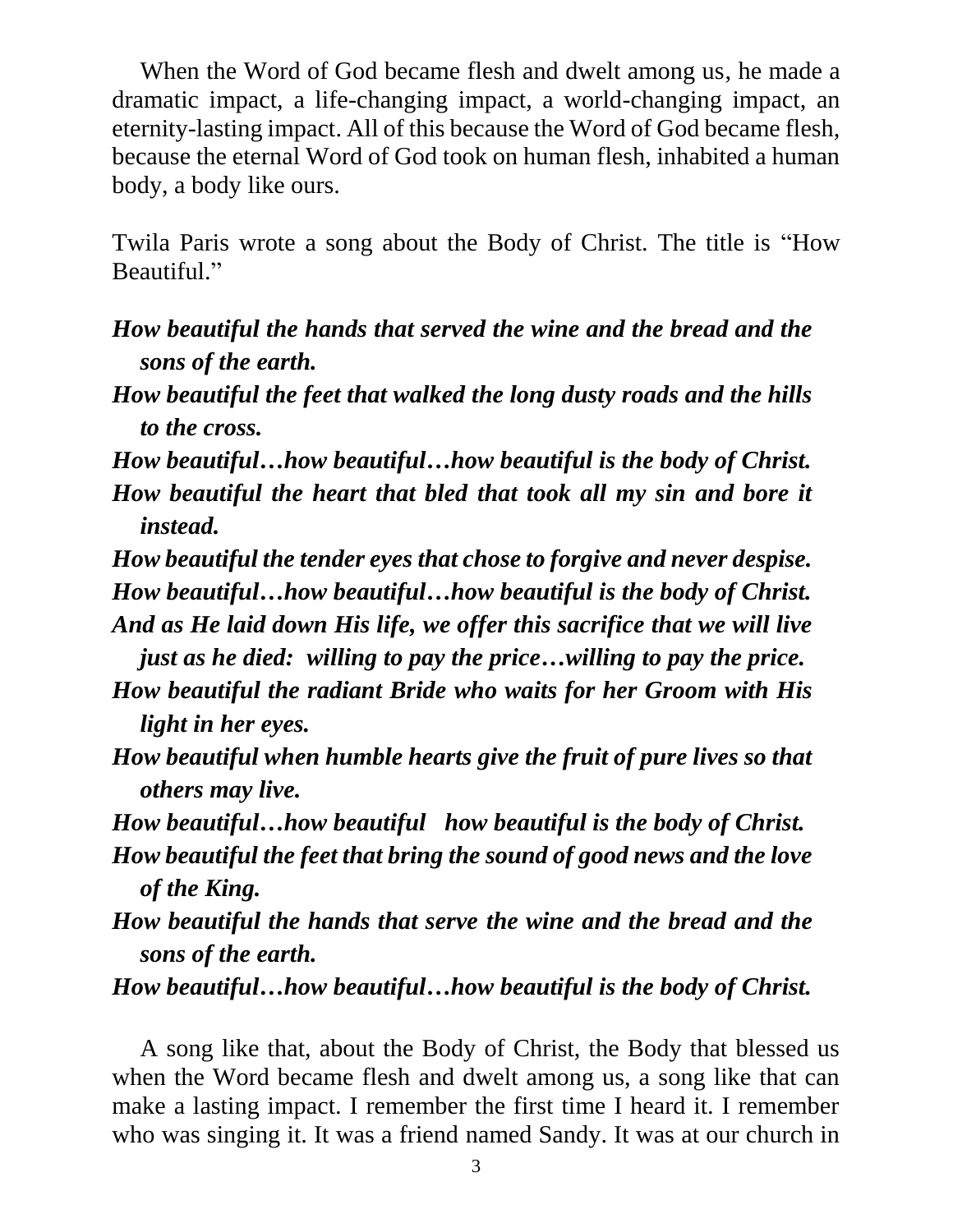When the Word of God became flesh and dwelt among us, he made a dramatic impact, a life-changing impact, a world-changing impact, an eternity-lasting impact. All of this because the Word of God became flesh, because the eternal Word of God took on human flesh, inhabited a human body, a body like ours.

Twila Paris wrote a song about the Body of Christ. The title is "How Beautiful."

- *How beautiful the hands that served the wine and the bread and the sons of the earth.*
- *How beautiful the feet that walked the long dusty roads and the hills to the cross.*
- *How beautiful…how beautiful…how beautiful is the body of Christ.*
- *How beautiful the heart that bled that took all my sin and bore it instead.*
- *How beautiful the tender eyes that chose to forgive and never despise. How beautiful…how beautiful…how beautiful is the body of Christ.*
- *And as He laid down His life, we offer this sacrifice that we will live*
- *just as he died: willing to pay the price…willing to pay the price.*
- *How beautiful the radiant Bride who waits for her Groom with His light in her eyes.*
- *How beautiful when humble hearts give the fruit of pure lives so that others may live.*
- *How beautiful…how beautiful how beautiful is the body of Christ.*
- *How beautiful the feet that bring the sound of good news and the love of the King.*
- *How beautiful the hands that serve the wine and the bread and the sons of the earth.*
- *How beautiful…how beautiful…how beautiful is the body of Christ.*

A song like that, about the Body of Christ, the Body that blessed us when the Word became flesh and dwelt among us, a song like that can make a lasting impact. I remember the first time I heard it. I remember who was singing it. It was a friend named Sandy. It was at our church in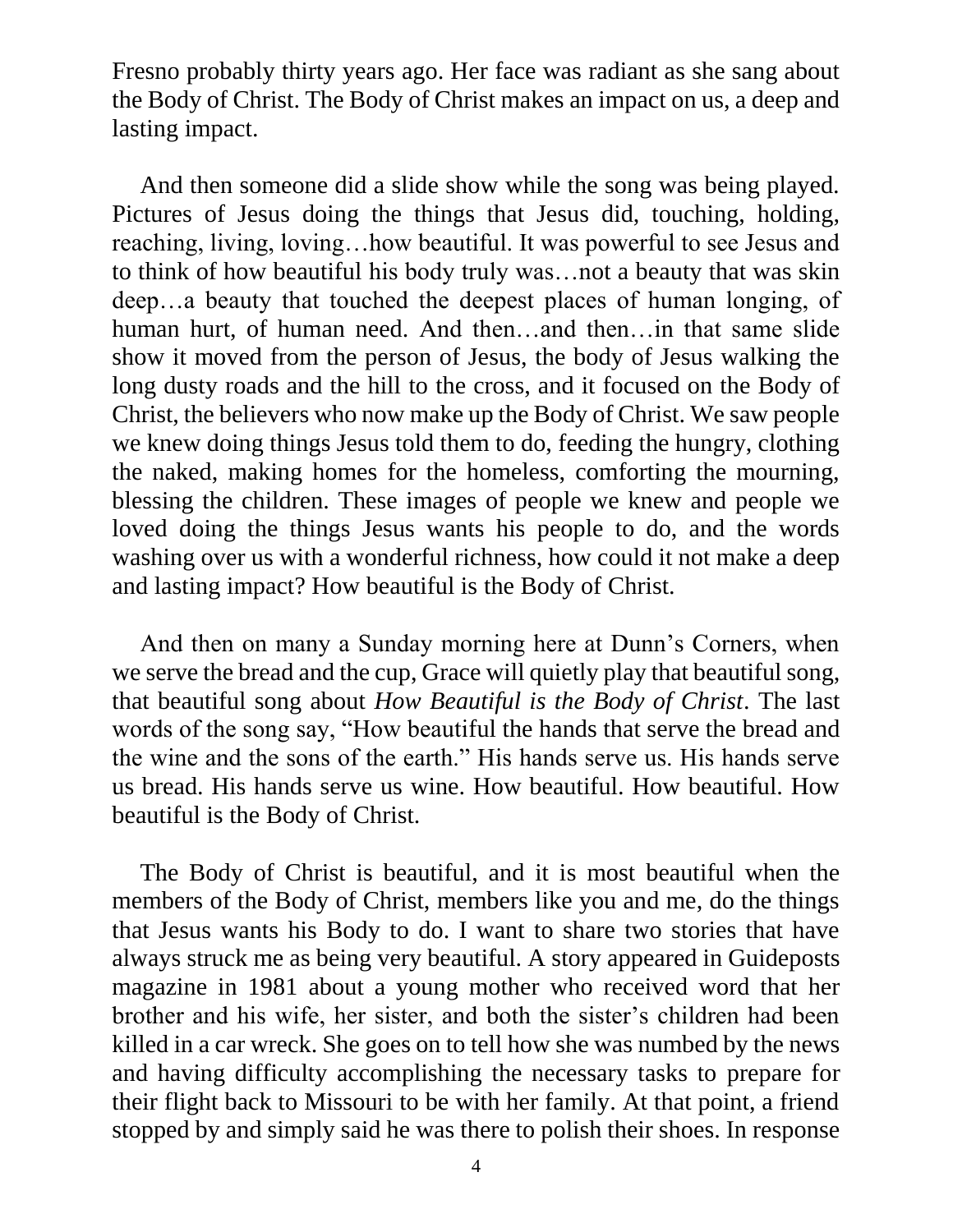Fresno probably thirty years ago. Her face was radiant as she sang about the Body of Christ. The Body of Christ makes an impact on us, a deep and lasting impact.

And then someone did a slide show while the song was being played. Pictures of Jesus doing the things that Jesus did, touching, holding, reaching, living, loving…how beautiful. It was powerful to see Jesus and to think of how beautiful his body truly was…not a beauty that was skin deep…a beauty that touched the deepest places of human longing, of human hurt, of human need. And then...and then...in that same slide show it moved from the person of Jesus, the body of Jesus walking the long dusty roads and the hill to the cross, and it focused on the Body of Christ, the believers who now make up the Body of Christ. We saw people we knew doing things Jesus told them to do, feeding the hungry, clothing the naked, making homes for the homeless, comforting the mourning, blessing the children. These images of people we knew and people we loved doing the things Jesus wants his people to do, and the words washing over us with a wonderful richness, how could it not make a deep and lasting impact? How beautiful is the Body of Christ.

And then on many a Sunday morning here at Dunn's Corners, when we serve the bread and the cup, Grace will quietly play that beautiful song, that beautiful song about *How Beautiful is the Body of Christ*. The last words of the song say, "How beautiful the hands that serve the bread and the wine and the sons of the earth." His hands serve us. His hands serve us bread. His hands serve us wine. How beautiful. How beautiful. How beautiful is the Body of Christ.

The Body of Christ is beautiful, and it is most beautiful when the members of the Body of Christ, members like you and me, do the things that Jesus wants his Body to do. I want to share two stories that have always struck me as being very beautiful. A story appeared in Guideposts magazine in 1981 about a young mother who received word that her brother and his wife, her sister, and both the sister's children had been killed in a car wreck. She goes on to tell how she was numbed by the news and having difficulty accomplishing the necessary tasks to prepare for their flight back to Missouri to be with her family. At that point, a friend stopped by and simply said he was there to polish their shoes. In response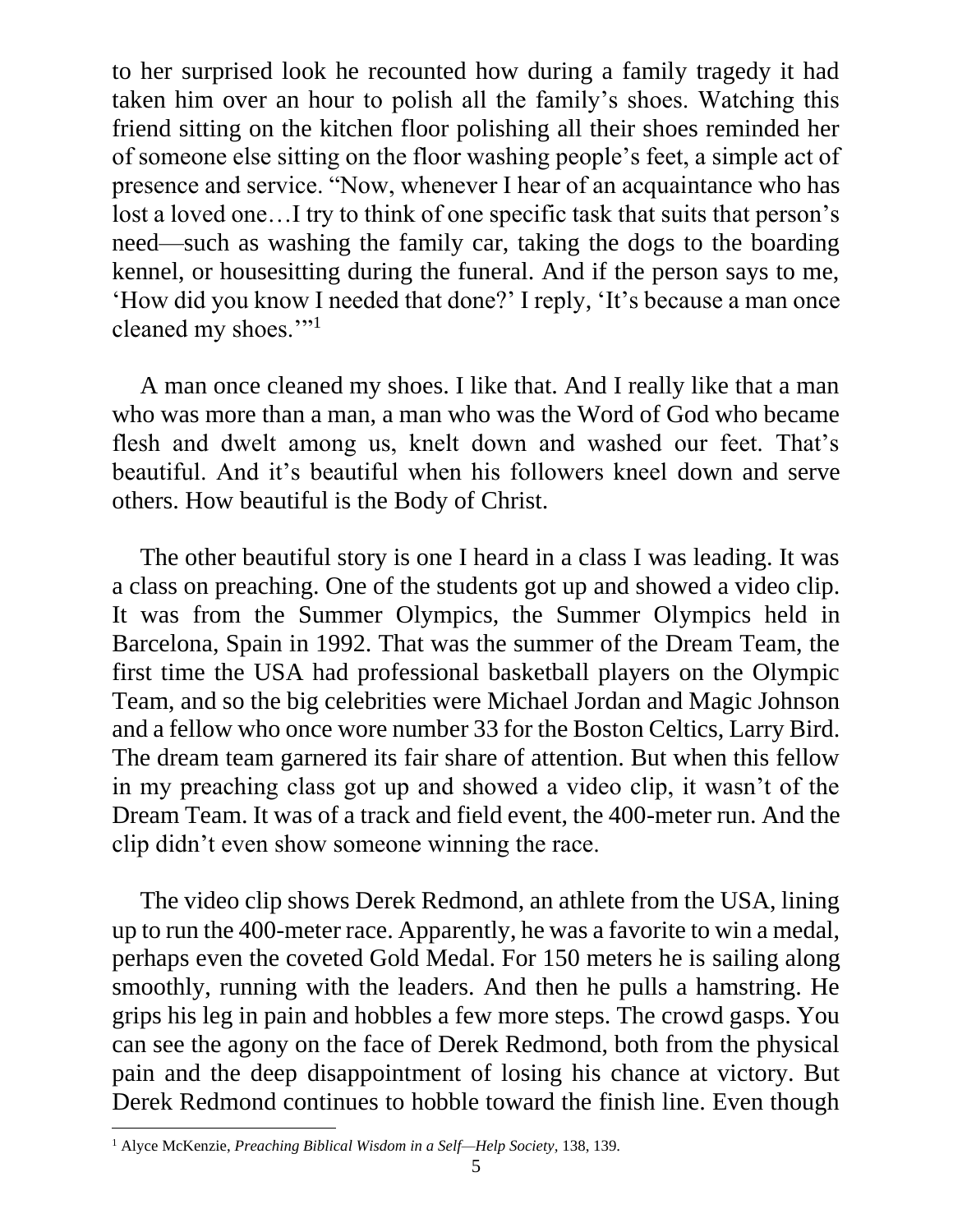to her surprised look he recounted how during a family tragedy it had taken him over an hour to polish all the family's shoes. Watching this friend sitting on the kitchen floor polishing all their shoes reminded her of someone else sitting on the floor washing people's feet, a simple act of presence and service. "Now, whenever I hear of an acquaintance who has lost a loved one... I try to think of one specific task that suits that person's need—such as washing the family car, taking the dogs to the boarding kennel, or housesitting during the funeral. And if the person says to me, 'How did you know I needed that done?' I reply, 'It's because a man once cleaned my shoes."<sup>1</sup>

A man once cleaned my shoes. I like that. And I really like that a man who was more than a man, a man who was the Word of God who became flesh and dwelt among us, knelt down and washed our feet. That's beautiful. And it's beautiful when his followers kneel down and serve others. How beautiful is the Body of Christ.

The other beautiful story is one I heard in a class I was leading. It was a class on preaching. One of the students got up and showed a video clip. It was from the Summer Olympics, the Summer Olympics held in Barcelona, Spain in 1992. That was the summer of the Dream Team, the first time the USA had professional basketball players on the Olympic Team, and so the big celebrities were Michael Jordan and Magic Johnson and a fellow who once wore number 33 for the Boston Celtics, Larry Bird. The dream team garnered its fair share of attention. But when this fellow in my preaching class got up and showed a video clip, it wasn't of the Dream Team. It was of a track and field event, the 400-meter run. And the clip didn't even show someone winning the race.

The video clip shows Derek Redmond, an athlete from the USA, lining up to run the 400-meter race. Apparently, he was a favorite to win a medal, perhaps even the coveted Gold Medal. For 150 meters he is sailing along smoothly, running with the leaders. And then he pulls a hamstring. He grips his leg in pain and hobbles a few more steps. The crowd gasps. You can see the agony on the face of Derek Redmond, both from the physical pain and the deep disappointment of losing his chance at victory. But Derek Redmond continues to hobble toward the finish line. Even though

<sup>1</sup> Alyce McKenzie, *Preaching Biblical Wisdom in a Self—Help Society,* 138, 139.